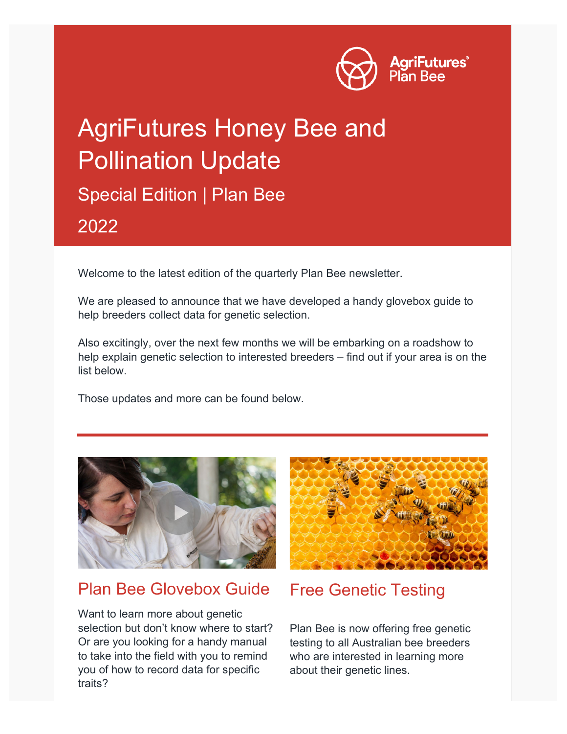

# AgriFutures Honey Bee and Pollination Update Special Edition | Plan Bee 2022

Welcome to the latest edition of the quarterly Plan Bee newsletter.

We are pleased to announce that we have developed a handy glovebox guide to help breeders collect data for genetic selection.

Also excitingly, over the next few months we will be embarking on a roadshow to help explain genetic selection to interested breeders – find out if your area is on the list below.

Those updates and more can be found below.



### Plan Bee Glovebox Guide

Want to learn more about genetic selection but don't know where to start? Or are you looking for a handy manual to take into the field with you to remind you of how to record data for specific traits?



## Free Genetic Testing

Plan Bee is now offering free genetic testing to all Australian bee breeders who are interested in learning more about their genetic lines.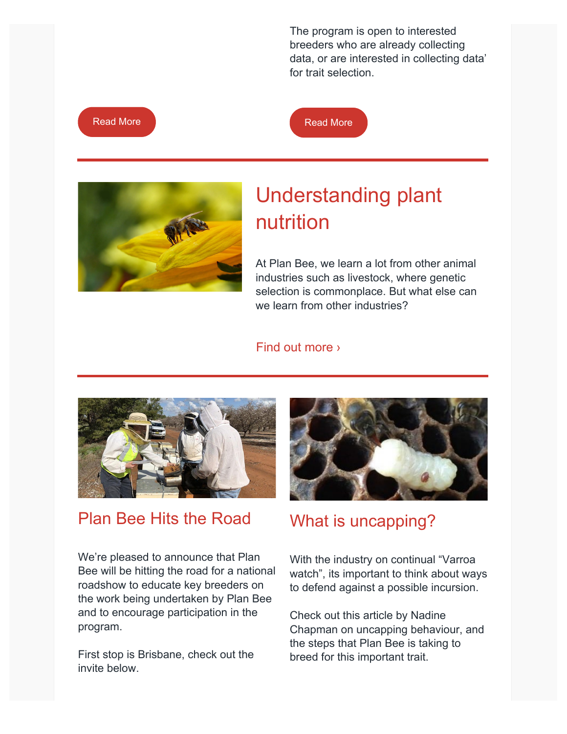The program is open to interested breeders who are already collecting data, or are interested in collecting data' for trait selection.







## Understanding plant nutrition

At Plan Bee, we learn a lot from other animal industries such as livestock, where genetic selection is commonplace. But what else can we learn from other industries?

#### [Find out more ›](https://agrifutures.com.au/news/to-understand-our-bees-we-must-understand-our-plants/?)



## Plan Bee Hits the Road

We're pleased to announce that Plan Bee will be hitting the road for a national roadshow to educate key breeders on the work being undertaken by Plan Bee and to encourage participation in the program.

First stop is Brisbane, check out the invite below.



## What is uncapping?

With the industry on continual "Varroa watch", its important to think about ways to defend against a possible incursion.

Check out this article by Nadine Chapman on uncapping behaviour, and the steps that Plan Bee is taking to breed for this important trait.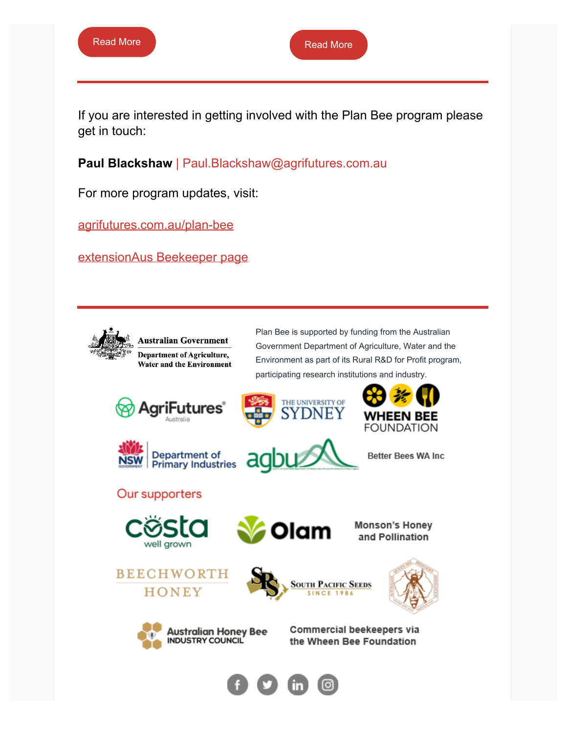If you are interested in getting involved with the Plan Bee program please get in touch:

**Paul Blackshaw** | Paul.Blackshaw@agrifutures.com.au

For more program updates, visit:

[agrifutures.com.au/plan-bee](https://www.agrifutures.com.au/plan-bee/)

[extensionAus Beekeeper page](https://extensionaus.com.au/professionalbeekeepers/how-is-plan-bee-different-from-previous-breeding-programs/)



Plan Bee is supported by funding from the Australian Government Department of Agriculture, Water and the Environment as part of its Rural R&D for Profit program, participating research institutions and industry.







THE UNIVERSITY OF

DNEY

**Better Bees WA Inc** 

WHEEN BEE **FOUNDATION** 

#### Our supporters





**Monson's Honey** and Pollination





Commercial beekeepers via the Wheen Bee Foundation

**SOUTH PACIFIC SEEDS** 

SINCE